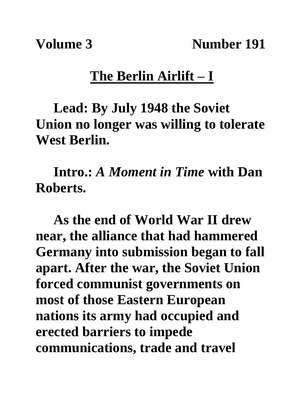**Volume 3** Number 191

## **The Berlin Airlift – I**

**Lead: By July 1948 the Soviet Union no longer was willing to tolerate West Berlin.**

**Intro.:** *A Moment in Time* **with Dan Roberts.**

**As the end of World War II drew near, the alliance that had hammered Germany into submission began to fall apart. After the war, the Soviet Union forced communist governments on most of those Eastern European nations its army had occupied and erected barriers to impede communications, trade and travel**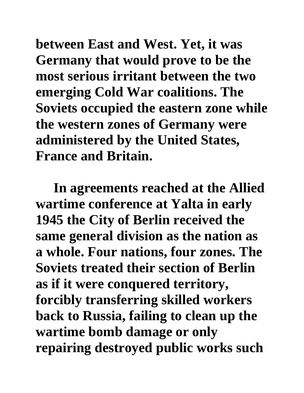**between East and West. Yet, it was Germany that would prove to be the most serious irritant between the two emerging Cold War coalitions. The Soviets occupied the eastern zone while the western zones of Germany were administered by the United States, France and Britain.**

**In agreements reached at the Allied wartime conference at Yalta in early 1945 the City of Berlin received the same general division as the nation as a whole. Four nations, four zones. The Soviets treated their section of Berlin as if it were conquered territory, forcibly transferring skilled workers back to Russia, failing to clean up the wartime bomb damage or only repairing destroyed public works such**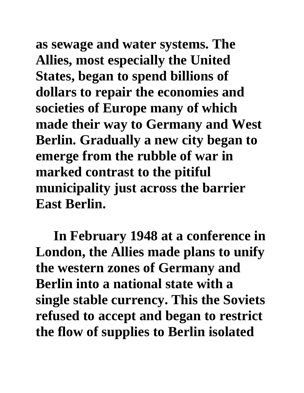**as sewage and water systems. The Allies, most especially the United States, began to spend billions of dollars to repair the economies and societies of Europe many of which made their way to Germany and West Berlin. Gradually a new city began to emerge from the rubble of war in marked contrast to the pitiful municipality just across the barrier East Berlin.** 

**In February 1948 at a conference in London, the Allies made plans to unify the western zones of Germany and Berlin into a national state with a single stable currency. This the Soviets refused to accept and began to restrict the flow of supplies to Berlin isolated**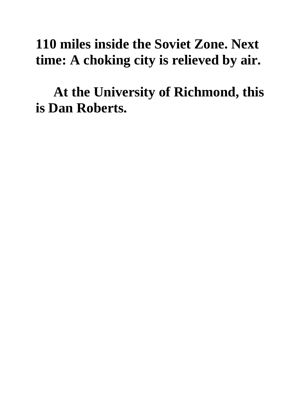## **110 miles inside the Soviet Zone. Next time: A choking city is relieved by air.**

**At the University of Richmond, this is Dan Roberts.**